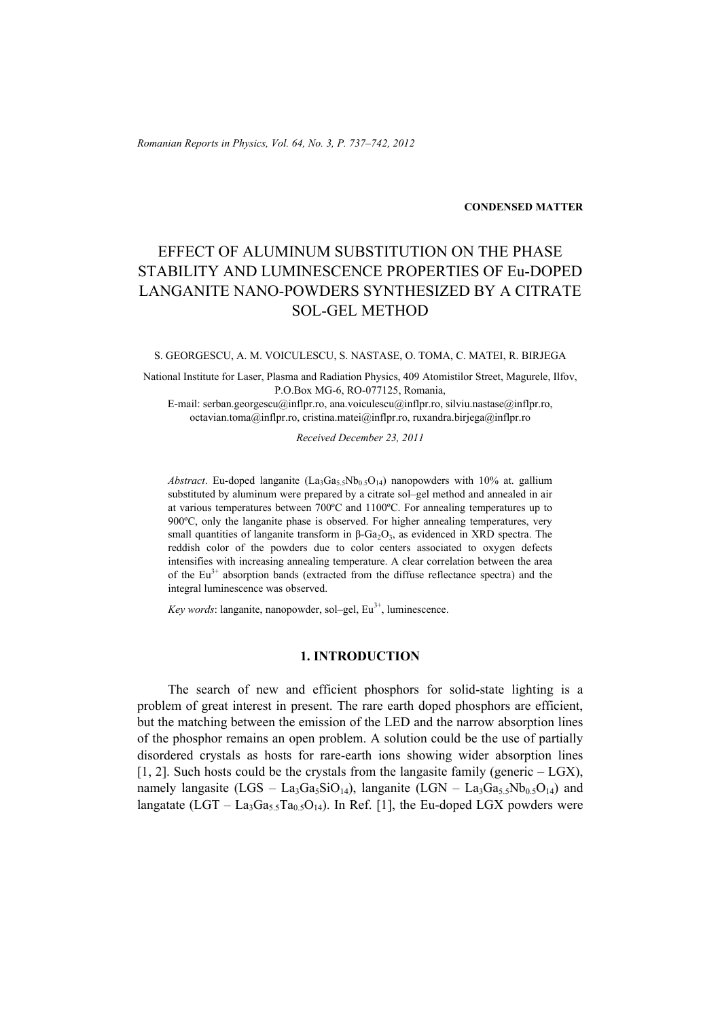*Romanian Reports in Physics, Vol. 64, No. 3, P. 737–742, 2012*

**CONDENSED MATTER**

# EFFECT OF ALUMINUM SUBSTITUTION ON THE PHASE STABILITY AND LUMINESCENCE PROPERTIES OF Eu-DOPED LANGANITE NANO-POWDERS SYNTHESIZED BY A CITRATE SOL-GEL METHOD

S. GEORGESCU, A. M. VOICULESCU, S. NASTASE, O. TOMA, C. MATEI, R. BIRJEGA

National Institute for Laser, Plasma and Radiation Physics, 409 Atomistilor Street, Magurele, Ilfov, P.O.Box MG-6, RO-077125, Romania,

E-mail: serban.georgescu@inflpr.ro, ana.voiculescu@inflpr.ro, silviu.nastase@inflpr.ro, octavian.toma@inflpr.ro, cristina.matei@inflpr.ro, ruxandra.birjega@inflpr.ro

*Received December 23, 2011* 

*Abstract*. Eu-doped langanite  $(La_3Ga_5Nb_{0.5}O_{14})$  nanopowders with 10% at. gallium substituted by aluminum were prepared by a citrate sol–gel method and annealed in air at various temperatures between 700ºC and 1100ºC. For annealing temperatures up to 900ºC, only the langanite phase is observed. For higher annealing temperatures, very small quantities of langanite transform in  $\beta$ -Ga<sub>2</sub>O<sub>3</sub>, as evidenced in XRD spectra. The reddish color of the powders due to color centers associated to oxygen defects intensifies with increasing annealing temperature. A clear correlation between the area of the  $Eu^{3+}$  absorption bands (extracted from the diffuse reflectance spectra) and the integral luminescence was observed.

*Key words*: langanite, nanopowder, sol–gel, Eu<sup>3+</sup>, luminescence.

## **1. INTRODUCTION**

The search of new and efficient phosphors for solid-state lighting is a problem of great interest in present. The rare earth doped phosphors are efficient, but the matching between the emission of the LED and the narrow absorption lines of the phosphor remains an open problem. A solution could be the use of partially disordered crystals as hosts for rare-earth ions showing wider absorption lines  $[1, 2]$ . Such hosts could be the crystals from the languasite family (generic  $-$  LGX), namely langasite  $(LGS - La_3Ga_5SiO_{14})$ , langanite  $(LGN - La_3Ga_{5.5}Nb_{0.5}O_{14})$  and langatate (LGT – La<sub>3</sub>Ga<sub>5.5</sub>Ta<sub>0.5</sub>O<sub>14</sub>). In Ref. [1], the Eu-doped LGX powders were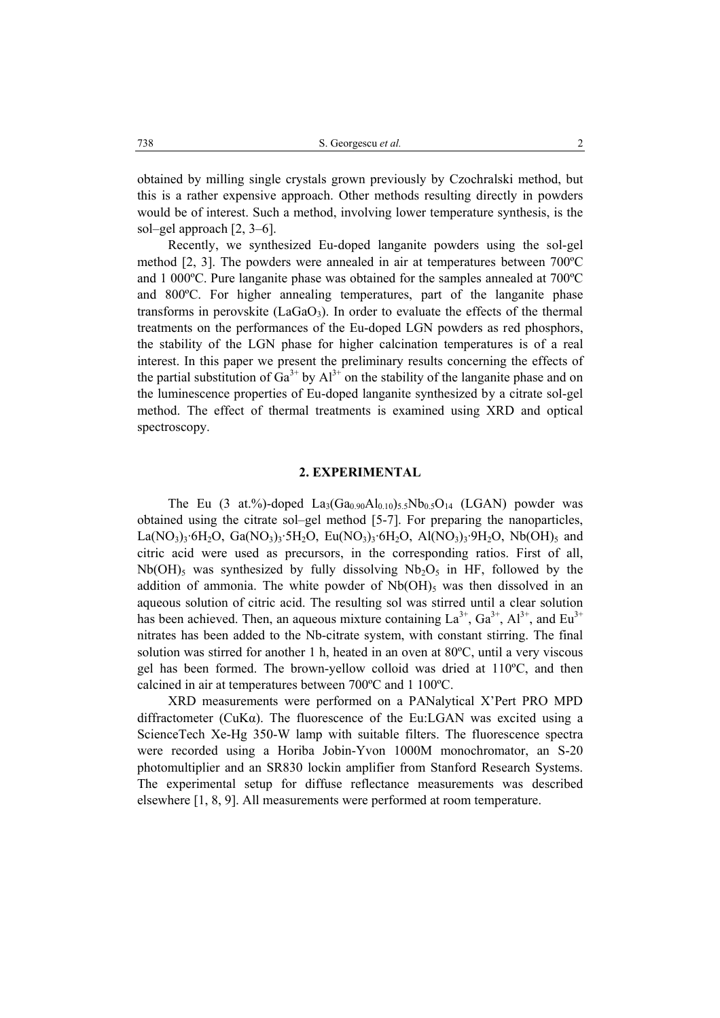obtained by milling single crystals grown previously by Czochralski method, but this is a rather expensive approach. Other methods resulting directly in powders would be of interest. Such a method, involving lower temperature synthesis, is the sol–gel approach [2, 3–6].

Recently, we synthesized Eu-doped langanite powders using the sol-gel method [2, 3]. The powders were annealed in air at temperatures between 700ºC and 1 000ºC. Pure langanite phase was obtained for the samples annealed at 700ºC and 800ºC. For higher annealing temperatures, part of the langanite phase transforms in perovskite ( $LaGaO<sub>3</sub>$ ). In order to evaluate the effects of the thermal treatments on the performances of the Eu-doped LGN powders as red phosphors, the stability of the LGN phase for higher calcination temperatures is of a real interest. In this paper we present the preliminary results concerning the effects of the partial substitution of  $Ga^{3+}$  by  $Al^{3+}$  on the stability of the langanite phase and on the luminescence properties of Eu-doped langanite synthesized by a citrate sol-gel method. The effect of thermal treatments is examined using XRD and optical spectroscopy.

### **2. EXPERIMENTAL**

The Eu (3 at.%)-doped  $La_3(Ga_{0.90}Al_{0.10})_5sNb_{0.5}O_{14}$  (LGAN) powder was obtained using the citrate sol–gel method [5-7]. For preparing the nanoparticles,  $La(NO_3)_3.6H_2O, Ga(NO_3)_3.5H_2O, Eu(NO_3)_3.6H_2O, Al(NO_3)_3.9H_2O, Nb(OH)_5$  and citric acid were used as precursors, in the corresponding ratios. First of all,  $Nb(OH)_{5}$  was synthesized by fully dissolving  $Nb<sub>2</sub>O<sub>5</sub>$  in HF, followed by the addition of ammonia. The white powder of  $Nb(OH)$ <sub>5</sub> was then dissolved in an aqueous solution of citric acid. The resulting sol was stirred until a clear solution has been achieved. Then, an aqueous mixture containing  $La^{3+}$ ,  $Ga^{3+}$ ,  $Al^{3+}$ , and  $Eu^{3+}$ nitrates has been added to the Nb-citrate system, with constant stirring. The final solution was stirred for another 1 h, heated in an oven at 80ºC, until a very viscous gel has been formed. The brown-yellow colloid was dried at 110ºC, and then calcined in air at temperatures between 700ºC and 1 100ºC.

XRD measurements were performed on a PANalytical X'Pert PRO MPD diffractometer ( $CuKa$ ). The fluorescence of the Eu:LGAN was excited using a ScienceTech Xe-Hg 350-W lamp with suitable filters. The fluorescence spectra were recorded using a Horiba Jobin-Yvon 1000M monochromator, an S-20 photomultiplier and an SR830 lockin amplifier from Stanford Research Systems. The experimental setup for diffuse reflectance measurements was described elsewhere [1, 8, 9]. All measurements were performed at room temperature.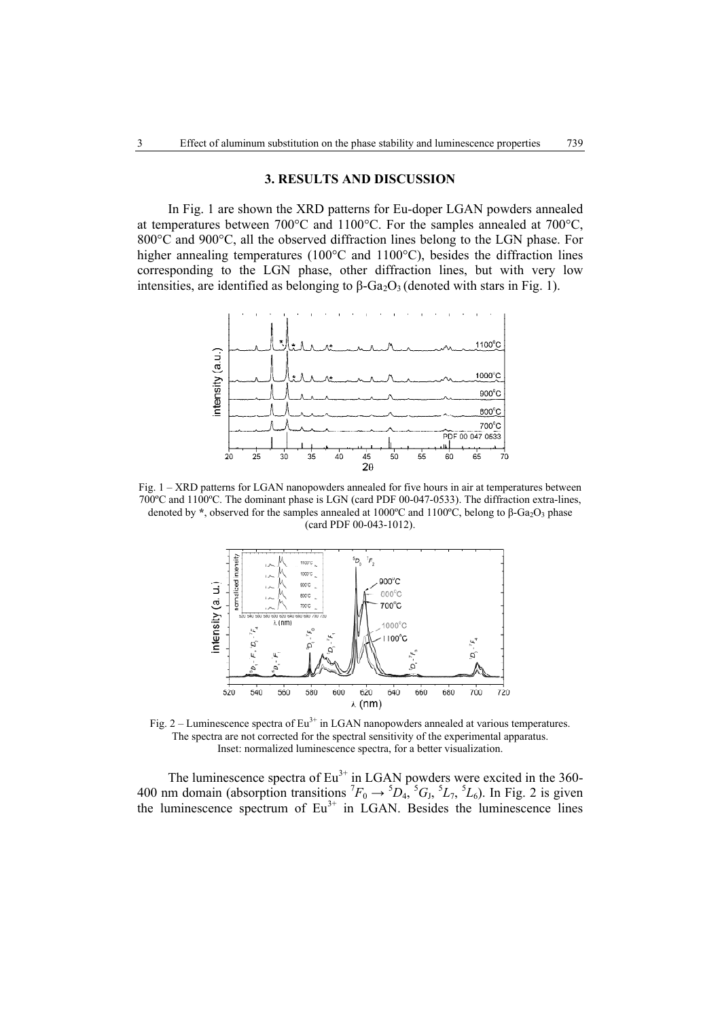#### **3. RESULTS AND DISCUSSION**

In Fig. 1 are shown the XRD patterns for Eu-doper LGAN powders annealed at temperatures between 700°C and 1100°C. For the samples annealed at 700°C, 800°C and 900°C, all the observed diffraction lines belong to the LGN phase. For higher annealing temperatures (100°C and 1100°C), besides the diffraction lines corresponding to the LGN phase, other diffraction lines, but with very low intensities, are identified as belonging to  $\beta$ -Ga<sub>2</sub>O<sub>3</sub> (denoted with stars in Fig. 1).



Fig. 1 – XRD patterns for LGAN nanopowders annealed for five hours in air at temperatures between 700ºC and 1100ºC. The dominant phase is LGN (card PDF 00-047-0533). The diffraction extra-lines, denoted by  $*$ , observed for the samples annealed at 1000<sup>o</sup>C and 1100<sup>o</sup>C, belong to  $\beta$ -Ga<sub>2</sub>O<sub>3</sub> phase (card PDF 00-043-1012).



Fig. 2 – Luminescence spectra of  $Eu^{3+}$  in LGAN nanopowders annealed at various temperatures. The spectra are not corrected for the spectral sensitivity of the experimental apparatus. Inset: normalized luminescence spectra, for a better visualization.

The luminescence spectra of  $Eu^{3+}$  in LGAN powders were excited in the 360-400 nm domain (absorption transitions  ${}^{7}F_0 \rightarrow {}^{5}D_4$ ,  ${}^{5}G_3$ ,  ${}^{5}L_7$ ,  ${}^{5}L_6$ ). In Fig. 2 is given the luminescence spectrum of  $Eu<sup>3+</sup>$  in LGAN. Besides the luminescence lines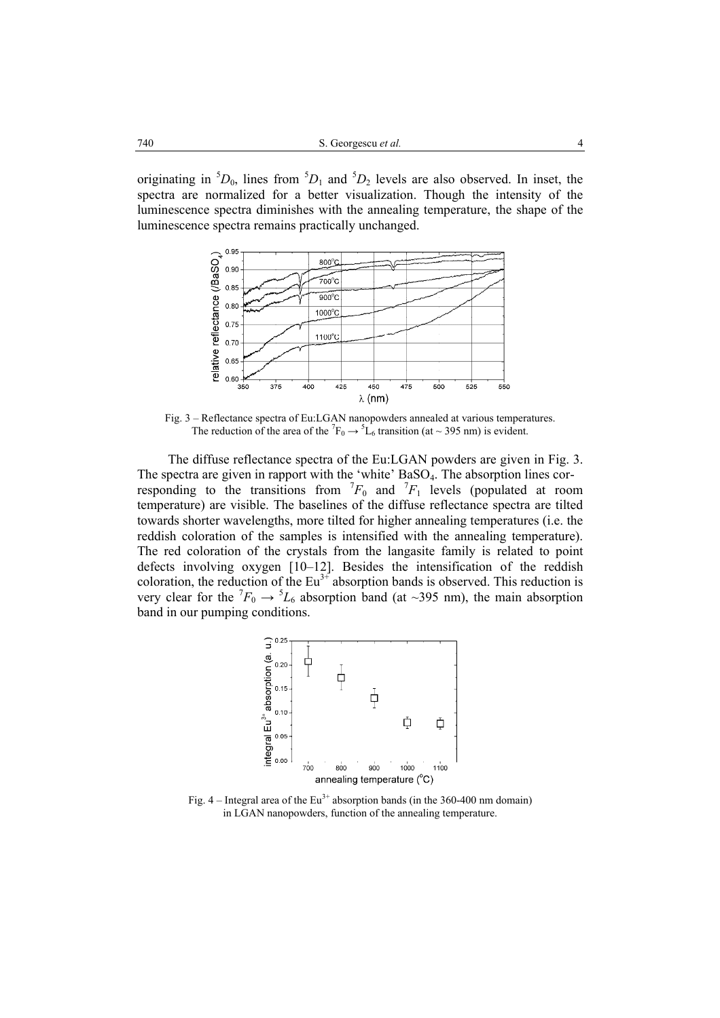originating in  ${}^5D_0$ , lines from  ${}^5D_1$  and  ${}^5D_2$  levels are also observed. In inset, the spectra are normalized for a better visualization. Though the intensity of the luminescence spectra diminishes with the annealing temperature, the shape of the luminescence spectra remains practically unchanged.



Fig. 3 – Reflectance spectra of Eu:LGAN nanopowders annealed at various temperatures. The reduction of the area of the  ${}^{7}F_0 \rightarrow {}^{5}L_6$  transition (at ~ 395 nm) is evident.

The diffuse reflectance spectra of the Eu:LGAN powders are given in Fig. 3. The spectra are given in rapport with the 'white' BaSO<sub>4</sub>. The absorption lines corresponding to the transitions from  ${}^{7}F_0$  and  ${}^{7}F_1$  levels (populated at room temperature) are visible. The baselines of the diffuse reflectance spectra are tilted towards shorter wavelengths, more tilted for higher annealing temperatures (i.e. the reddish coloration of the samples is intensified with the annealing temperature). The red coloration of the crystals from the langasite family is related to point defects involving oxygen [10–12]. Besides the intensification of the reddish coloration, the reduction of the  $Eu^{3+}$  absorption bands is observed. This reduction is very clear for the  ${}^{7}F_0 \rightarrow {}^{5}L_6$  absorption band (at ~395 nm), the main absorption band in our pumping conditions.



Fig.  $4$  – Integral area of the Eu<sup>3+</sup> absorption bands (in the 360-400 nm domain) in LGAN nanopowders, function of the annealing temperature.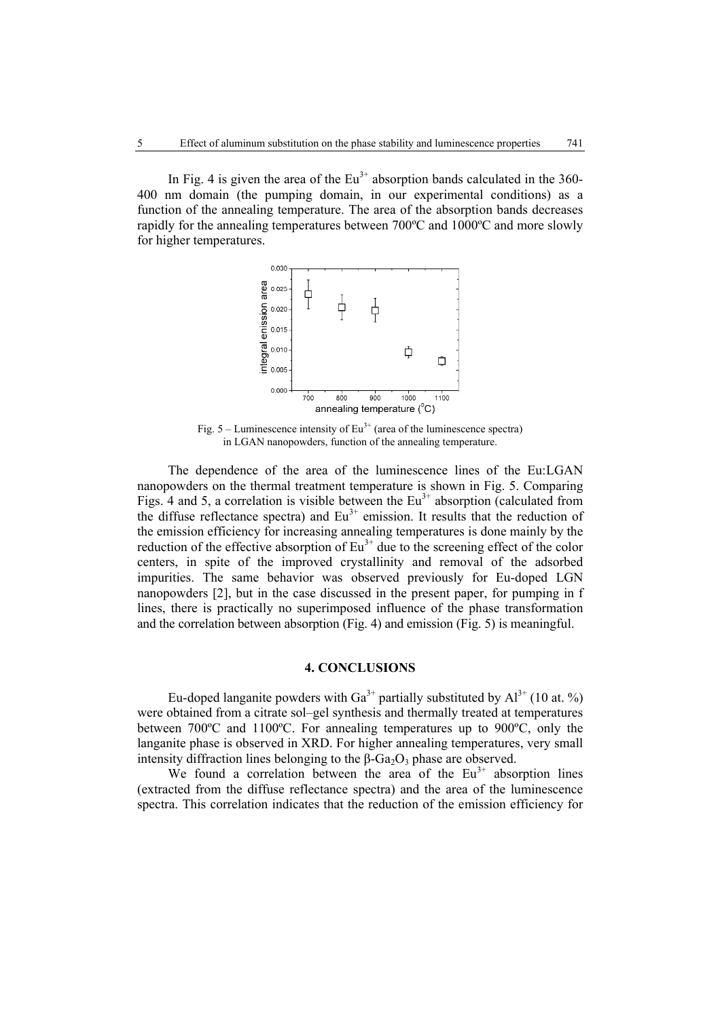In Fig. 4 is given the area of the  $Eu^{3+}$  absorption bands calculated in the 360-400 nm domain (the pumping domain, in our experimental conditions) as a function of the annealing temperature. The area of the absorption bands decreases rapidly for the annealing temperatures between 700ºC and 1000ºC and more slowly for higher temperatures.



Fig.  $5 -$  Luminescence intensity of Eu<sup>3+</sup> (area of the luminescence spectra) in LGAN nanopowders, function of the annealing temperature.

The dependence of the area of the luminescence lines of the Eu:LGAN nanopowders on the thermal treatment temperature is shown in Fig. 5. Comparing Figs. 4 and 5, a correlation is visible between the  $Eu<sup>3+</sup>$  absorption (calculated from the diffuse reflectance spectra) and  $Eu^{3+}$  emission. It results that the reduction of the emission efficiency for increasing annealing temperatures is done mainly by the reduction of the effective absorption of  $Eu^{3+}$  due to the screening effect of the color centers, in spite of the improved crystallinity and removal of the adsorbed impurities. The same behavior was observed previously for Eu-doped LGN nanopowders [2], but in the case discussed in the present paper, for pumping in f lines, there is practically no superimposed influence of the phase transformation and the correlation between absorption (Fig. 4) and emission (Fig. 5) is meaningful.

## **4. CONCLUSIONS**

Eu-doped langanite powders with  $Ga^{3+}$  partially substituted by  $Al^{3+}$  (10 at. %) were obtained from a citrate sol–gel synthesis and thermally treated at temperatures between 700ºC and 1100ºC. For annealing temperatures up to 900ºC, only the langanite phase is observed in XRD. For higher annealing temperatures, very small intensity diffraction lines belonging to the  $\beta$ -Ga<sub>2</sub>O<sub>3</sub> phase are observed.

We found a correlation between the area of the  $Eu<sup>3+</sup>$  absorption lines (extracted from the diffuse reflectance spectra) and the area of the luminescence spectra. This correlation indicates that the reduction of the emission efficiency for